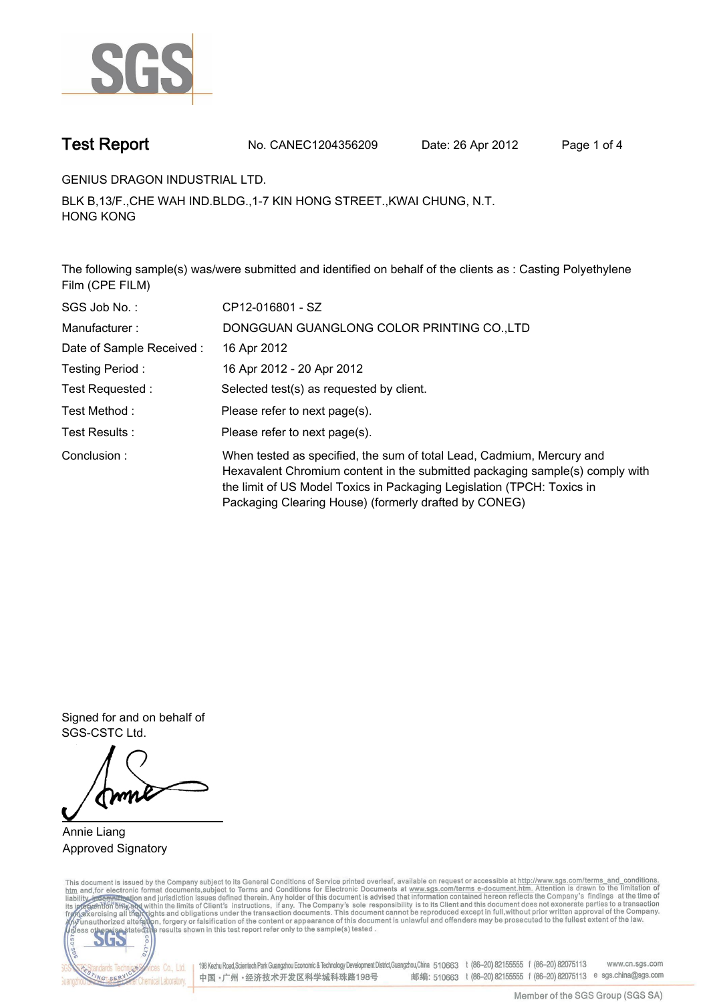

**Test Report. No. CANEC1204356209 Date: 26 Apr 2012. Page 1 of 4.**

**GENIUS DRAGON INDUSTRIAL LTD..**

**BLK B,13/F.,CHE WAH IND.BLDG.,1-7 KIN HONG STREET.,KWAI CHUNG, N.T. HONG KONG.**

**The following sample(s) was/were submitted and identified on behalf of the clients as : Casting Polyethylene Film (CPE FILM).**

| SGS Job No.:             | CP12-016801 - SZ                                                                                                                                                                                                                                                                         |
|--------------------------|------------------------------------------------------------------------------------------------------------------------------------------------------------------------------------------------------------------------------------------------------------------------------------------|
| Manufacturer:            | DONGGUAN GUANGLONG COLOR PRINTING CO.,LTD                                                                                                                                                                                                                                                |
| Date of Sample Received: | 16 Apr 2012                                                                                                                                                                                                                                                                              |
| Testing Period:          | 16 Apr 2012 - 20 Apr 2012                                                                                                                                                                                                                                                                |
| Test Requested :         | Selected test(s) as requested by client.                                                                                                                                                                                                                                                 |
| Test Method :            | Please refer to next page(s).                                                                                                                                                                                                                                                            |
| Test Results :           | Please refer to next page(s).                                                                                                                                                                                                                                                            |
| Conclusion:              | When tested as specified, the sum of total Lead, Cadmium, Mercury and<br>Hexavalent Chromium content in the submitted packaging sample(s) comply with<br>the limit of US Model Toxics in Packaging Legislation (TPCH: Toxics in<br>Packaging Clearing House) (formerly drafted by CONEG) |

**Signed for and on behalf of SGS-CSTC Ltd..**

**Annie Liang. Approved Signatory.**

This document is issued by the Company subject to its General Conditions of Service printed overleaf, available on request or accessible at http://www.sgs.com/terms\_and\_conditions.<br>htm\_and, for electronic format documents,



198 Kezhu Road,Scientech Park Guangzhou Economic & Technology Development District,Guangzhou,China 510663 t (86-20) 82155555 f (86-20) 82075113 www.cn.sgs.com 邮编: 510663 t (86-20) 82155555 f (86-20) 82075113 e sgs.china@sgs.com 中国·广州·经济技术开发区科学城科珠路198号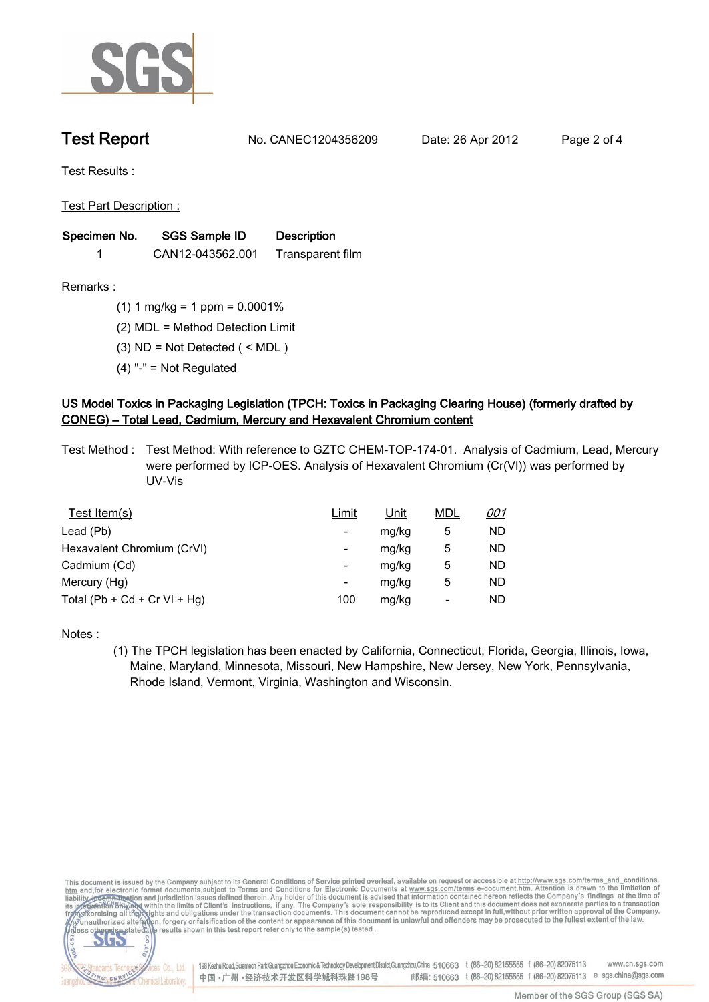

**Test Report. No. CANEC1204356209 Date: 26 Apr 2012. Page 2 of 4.**

**Test Results :.**

**Test Part Description :.**

| Specimen No. | SGS Sample ID    | <b>Description</b> |  |
|--------------|------------------|--------------------|--|
|              | CAN12-043562.001 | Transparent film   |  |

**Remarks :.(1) 1 mg/kg = 1 ppm = 0.0001%.**

**(2) MDL = Method Detection Limit.**

**(3) ND = Not Detected ( < MDL ).**

**(4) "-" = Not Regulated.**

## **US Model Toxics in Packaging Legislation (TPCH: Toxics in Packaging Clearing House) (formerly drafted by CONEG) – Total Lead, Cadmium, Mercury and Hexavalent Chromium content.**

**Test Method :. Test Method: With reference to GZTC CHEM-TOP-174-01. Analysis of Cadmium, Lead, Mercury were performed by ICP-OES. Analysis of Hexavalent Chromium (Cr(VI)) was performed by UV-Vis.**

| Test Item(s)                 | <u>Limit</u> | <u>Unit</u> | <b>MDL</b> | <u>001</u> |
|------------------------------|--------------|-------------|------------|------------|
| Lead (Pb)                    |              | mg/kg       | 5          | ND         |
| Hexavalent Chromium (CrVI)   | -            | mg/kg       | 5          | ND         |
| Cadmium (Cd)                 | -            | mg/kg       | 5          | ND         |
| Mercury (Hg)                 | -            | mg/kg       | 5          | ND         |
| Total (Pb + Cd + Cr VI + Hg) | 100          | mg/kg       |            | ND         |

**Notes :.**

**(1) The TPCH legislation has been enacted by California, Connecticut, Florida, Georgia, Illinois, Iowa, Maine, Maryland, Minnesota, Missouri, New Hampshire, New Jersey, New York, Pennsylvania, Rhode Island, Vermont, Virginia, Washington and Wisconsin..**

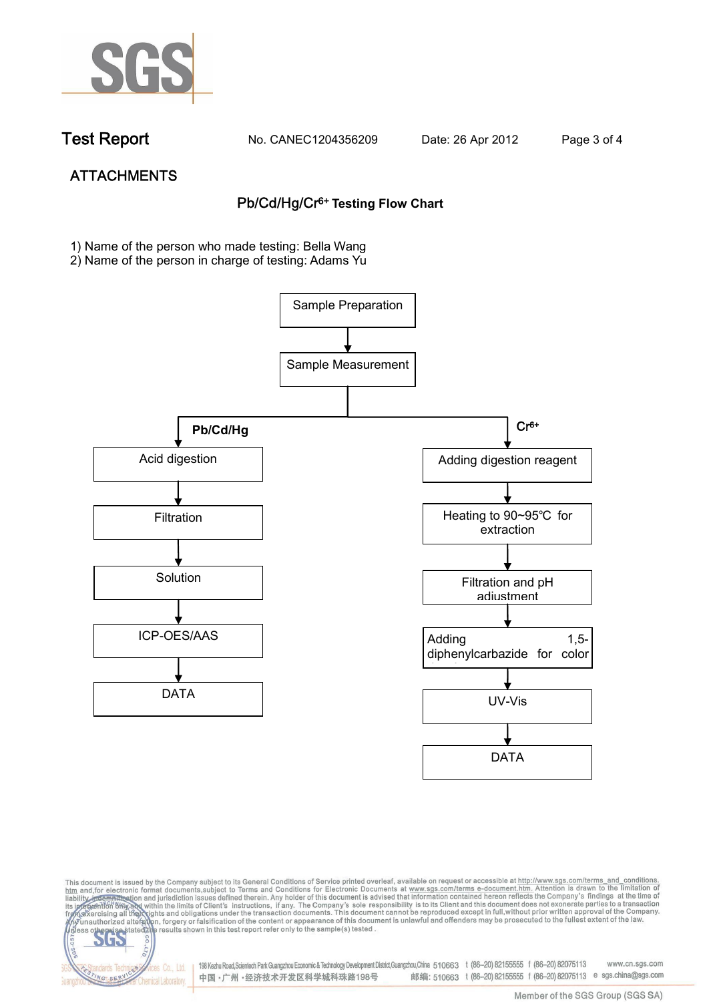

dards Ter

NG SER

**Chemical Laboratory** 

**Test Report. No. CANEC1204356209 Date: 26 Apr 2012. Page 3 of 4.**

# **ATTACHMENTS Pb/Cd/Hg/Cr6+ Testing Flow Chart**

**1)** Name of the person who made testing: Bella Wang

2) Name of the person in charge of testing: Adams Yu





198 Kezhu Road,Scientech Park Guangzhou Economic & Technology Development District,Guangzhou,China 510663 t (86-20) 82155555 f (86-20) 82075113 www.cn.sgs.com vices Co., Ltd. 邮编: 510663 t (86-20) 82155555 f (86-20) 82075113 e sgs.china@sgs.com 中国·广州·经济技术开发区科学城科珠路198号